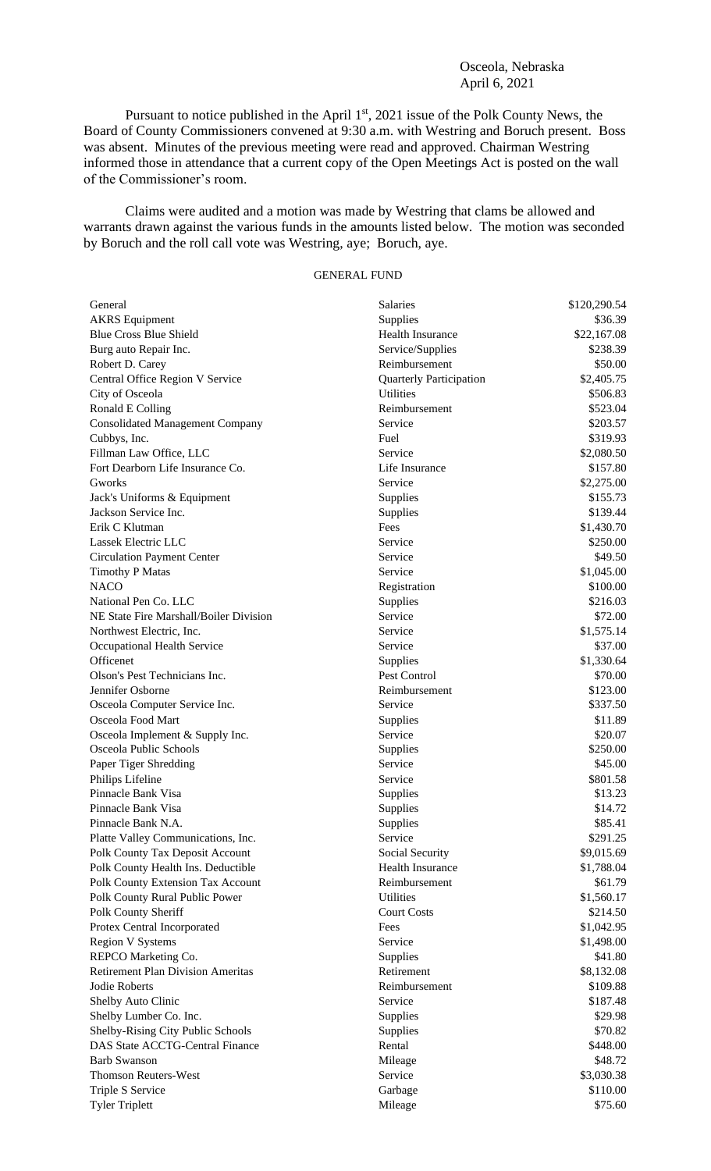## Osceola, Nebraska April 6, 2021

Pursuant to notice published in the April  $1<sup>st</sup>$ , 2021 issue of the Polk County News, the Board of County Commissioners convened at 9:30 a.m. with Westring and Boruch present. Boss was absent. Minutes of the previous meeting were read and approved. Chairman Westring informed those in attendance that a current copy of the Open Meetings Act is posted on the wall of the Commissioner's room.

Claims were audited and a motion was made by Westring that clams be allowed and warrants drawn against the various funds in the amounts listed below. The motion was seconded by Boruch and the roll call vote was Westring, aye; Boruch, aye.

## GENERAL FUND

| General                                  | <b>Salaries</b>                | \$120,290.54 |
|------------------------------------------|--------------------------------|--------------|
| <b>AKRS</b> Equipment                    | Supplies                       | \$36.39      |
| <b>Blue Cross Blue Shield</b>            | Health Insurance               | \$22,167.08  |
| Burg auto Repair Inc.                    | Service/Supplies               | \$238.39     |
| Robert D. Carey                          | Reimbursement                  | \$50.00      |
| Central Office Region V Service          | <b>Quarterly Participation</b> | \$2,405.75   |
| City of Osceola                          | <b>Utilities</b>               | \$506.83     |
| Ronald E Colling                         | Reimbursement                  | \$523.04     |
| <b>Consolidated Management Company</b>   | Service                        | \$203.57     |
| Cubbys, Inc.                             | Fuel                           | \$319.93     |
| Fillman Law Office, LLC                  | Service                        | \$2,080.50   |
| Fort Dearborn Life Insurance Co.         | Life Insurance                 | \$157.80     |
| Gworks                                   | Service                        | \$2,275.00   |
| Jack's Uniforms & Equipment              | Supplies                       | \$155.73     |
| Jackson Service Inc.                     | Supplies                       | \$139.44     |
| Erik C Klutman                           | Fees                           | \$1,430.70   |
| Lassek Electric LLC                      | Service                        | \$250.00     |
| <b>Circulation Payment Center</b>        | Service                        | \$49.50      |
| <b>Timothy P Matas</b>                   | Service                        | \$1,045.00   |
| <b>NACO</b>                              | Registration                   | \$100.00     |
| National Pen Co. LLC                     | Supplies                       | \$216.03     |
| NE State Fire Marshall/Boiler Division   | Service                        | \$72.00      |
| Northwest Electric, Inc.                 | Service                        | \$1,575.14   |
| Occupational Health Service              | Service                        | \$37.00      |
| Officenet                                | Supplies                       | \$1,330.64   |
| Olson's Pest Technicians Inc.            | Pest Control                   | \$70.00      |
| Jennifer Osborne                         | Reimbursement                  | \$123.00     |
| Osceola Computer Service Inc.            | Service                        | \$337.50     |
| Osceola Food Mart                        | Supplies                       | \$11.89      |
| Osceola Implement & Supply Inc.          | Service                        | \$20.07      |
| Osceola Public Schools                   | Supplies                       | \$250.00     |
| Paper Tiger Shredding                    | Service                        | \$45.00      |
| Philips Lifeline                         | Service                        | \$801.58     |
| Pinnacle Bank Visa                       | Supplies                       | \$13.23      |
| Pinnacle Bank Visa                       | Supplies                       | \$14.72      |
| Pinnacle Bank N.A.                       | Supplies                       | \$85.41      |
| Platte Valley Communications, Inc.       | Service                        | \$291.25     |
| <b>Polk County Tax Deposit Account</b>   | Social Security                | \$9,015.69   |
| Polk County Health Ins. Deductible       | <b>Health Insurance</b>        | \$1,788.04   |
| Polk County Extension Tax Account        | Reimbursement                  | \$61.79      |
| Polk County Rural Public Power           | Utilities                      | \$1,560.17   |
| Polk County Sheriff                      | <b>Court Costs</b>             | \$214.50     |
| Protex Central Incorporated              | Fees                           | \$1,042.95   |
| <b>Region V Systems</b>                  | Service                        | \$1,498.00   |
| REPCO Marketing Co.                      | Supplies                       | \$41.80      |
| <b>Retirement Plan Division Ameritas</b> | Retirement                     | \$8,132.08   |
| Jodie Roberts                            | Reimbursement                  | \$109.88     |
|                                          | Service                        | \$187.48     |
| Shelby Auto Clinic                       |                                |              |
| Shelby Lumber Co. Inc.                   | Supplies                       | \$29.98      |
| Shelby-Rising City Public Schools        | Supplies                       | \$70.82      |
| DAS State ACCTG-Central Finance          | Rental                         | \$448.00     |
| <b>Barb Swanson</b>                      | Mileage                        | \$48.72      |
| <b>Thomson Reuters-West</b>              | Service                        | \$3,030.38   |
| Triple S Service                         | Garbage                        | \$110.00     |
| <b>Tyler Triplett</b>                    | Mileage                        | \$75.60      |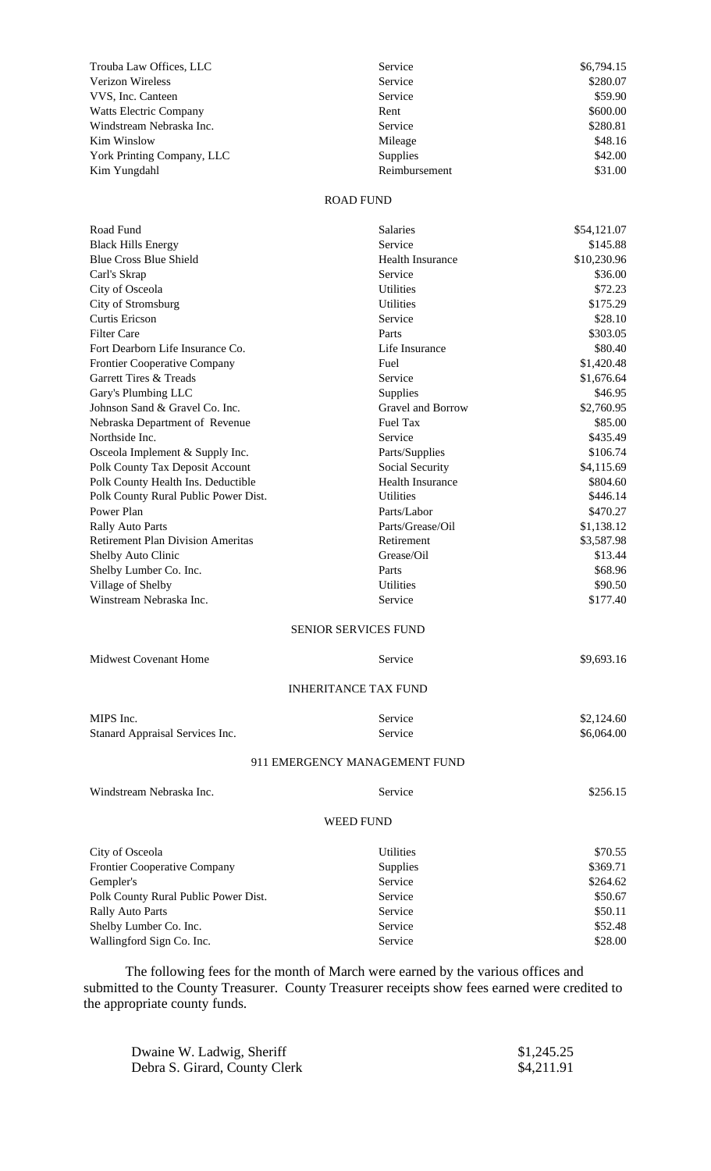| Trouba Law Offices, LLC       | Service       | \$6,794.15 |
|-------------------------------|---------------|------------|
| <b>Verizon Wireless</b>       | Service       | \$280.07   |
| VVS, Inc. Canteen             | Service       | \$59.90    |
| <b>Watts Electric Company</b> | Rent          | \$600.00   |
| Windstream Nebraska Inc.      | Service       | \$280.81   |
| Kim Winslow                   | Mileage       | \$48.16    |
| York Printing Company, LLC    | Supplies      | \$42.00    |
| Kim Yungdahl                  | Reimbursement | \$31.00    |

## ROAD FUND

| Road Fund                                | Salaries                      | \$54,121.07 |
|------------------------------------------|-------------------------------|-------------|
| <b>Black Hills Energy</b>                | Service                       | \$145.88    |
| <b>Blue Cross Blue Shield</b>            | <b>Health Insurance</b>       | \$10,230.96 |
| Carl's Skrap                             | Service                       | \$36.00     |
| City of Osceola                          | <b>Utilities</b>              | \$72.23     |
| City of Stromsburg                       | <b>Utilities</b>              | \$175.29    |
| <b>Curtis Ericson</b>                    | Service                       | \$28.10     |
| <b>Filter Care</b>                       | Parts                         | \$303.05    |
| Fort Dearborn Life Insurance Co.         | Life Insurance                | \$80.40     |
| Frontier Cooperative Company             | Fuel                          | \$1,420.48  |
| Garrett Tires & Treads                   | Service                       | \$1,676.64  |
| Gary's Plumbing LLC                      | Supplies                      | \$46.95     |
| Johnson Sand & Gravel Co. Inc.           | Gravel and Borrow             | \$2,760.95  |
| Nebraska Department of Revenue           | <b>Fuel Tax</b>               | \$85.00     |
| Northside Inc.                           | Service                       | \$435.49    |
| Osceola Implement & Supply Inc.          | Parts/Supplies                | \$106.74    |
| Polk County Tax Deposit Account          | Social Security               | \$4,115.69  |
| Polk County Health Ins. Deductible       | <b>Health Insurance</b>       | \$804.60    |
| Polk County Rural Public Power Dist.     | <b>Utilities</b>              | \$446.14    |
| Power Plan                               | Parts/Labor                   | \$470.27    |
| <b>Rally Auto Parts</b>                  | Parts/Grease/Oil              | \$1,138.12  |
| <b>Retirement Plan Division Ameritas</b> | Retirement                    | \$3,587.98  |
| Shelby Auto Clinic                       | Grease/Oil                    | \$13.44     |
| Shelby Lumber Co. Inc.                   | Parts                         | \$68.96     |
| Village of Shelby                        | <b>Utilities</b>              | \$90.50     |
| Winstream Nebraska Inc.                  | Service                       | \$177.40    |
|                                          | <b>SENIOR SERVICES FUND</b>   |             |
| <b>Midwest Covenant Home</b>             | Service                       | \$9,693.16  |
|                                          | <b>INHERITANCE TAX FUND</b>   |             |
| MIPS Inc.                                | Service                       | \$2,124.60  |
| Stanard Appraisal Services Inc.          | Service                       | \$6,064.00  |
|                                          |                               |             |
|                                          | 911 EMERGENCY MANAGEMENT FUND |             |
| Windstream Nebraska Inc.                 | Service                       | \$256.15    |
|                                          | <b>WEED FUND</b>              |             |
| City of Osceola                          | <b>Utilities</b>              | \$70.55     |
| <b>Frontier Cooperative Company</b>      | Supplies                      | \$369.71    |
| Gempler's                                | Service                       | \$264.62    |
| Polk County Rural Public Power Dist.     | Service                       | \$50.67     |
| <b>Rally Auto Parts</b>                  | Service                       | \$50.11     |
| Shelby Lumber Co. Inc.                   | Service                       | \$52.48     |
| Wallingford Sign Co. Inc.                | Service                       | \$28.00     |
|                                          |                               |             |

The following fees for the month of March were earned by the various offices and submitted to the County Treasurer. County Treasurer receipts show fees earned were credited to the appropriate county funds.

| Dwaine W. Ladwig, Sheriff     | \$1,245.25 |
|-------------------------------|------------|
| Debra S. Girard, County Clerk | \$4,211.91 |